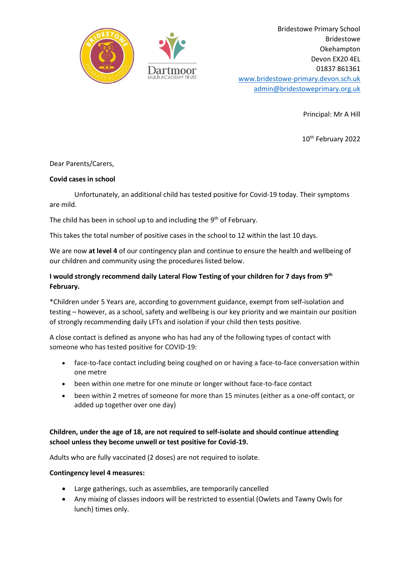

Bridestowe Primary School Bridestowe Okehampton Devon EX20 4EL 01837 861361 [www.bridestowe-primary.devon.sch.uk](http://www.bridestowe-primary.devon.sch.uk/) [admin@bridestoweprimary.org.uk](mailto:admin@bridestoweprimary.org.uk)

Principal: Mr A Hill

10<sup>th</sup> February 2022

## Dear Parents/Carers,

### **Covid cases in school**

Unfortunately, an additional child has tested positive for Covid-19 today. Their symptoms are mild.

The child has been in school up to and including the 9<sup>th</sup> of February.

This takes the total number of positive cases in the school to 12 within the last 10 days.

We are now **at level 4** of our contingency plan and continue to ensure the health and wellbeing of our children and community using the procedures listed below.

# **I would strongly recommend daily Lateral Flow Testing of your children for 7 days from 9 th February.**

\*Children under 5 Years are, according to government guidance, exempt from self-isolation and testing – however, as a school, safety and wellbeing is our key priority and we maintain our position of strongly recommending daily LFTs and isolation if your child then tests positive.

A close contact is defined as anyone who has had any of the following types of contact with someone who has tested positive for COVID-19:

- face-to-face contact including being coughed on or having a face-to-face conversation within one metre
- been within one metre for one minute or longer without face-to-face contact
- been within 2 metres of someone for more than 15 minutes (either as a one-off contact, or added up together over one day)

# **Children, under the age of 18, are not required to self-isolate and should continue attending school unless they become unwell or test positive for Covid-19.**

Adults who are fully vaccinated (2 doses) are not required to isolate.

### **Contingency level 4 measures:**

- Large gatherings, such as assemblies, are temporarily cancelled
- Any mixing of classes indoors will be restricted to essential (Owlets and Tawny Owls for lunch) times only.